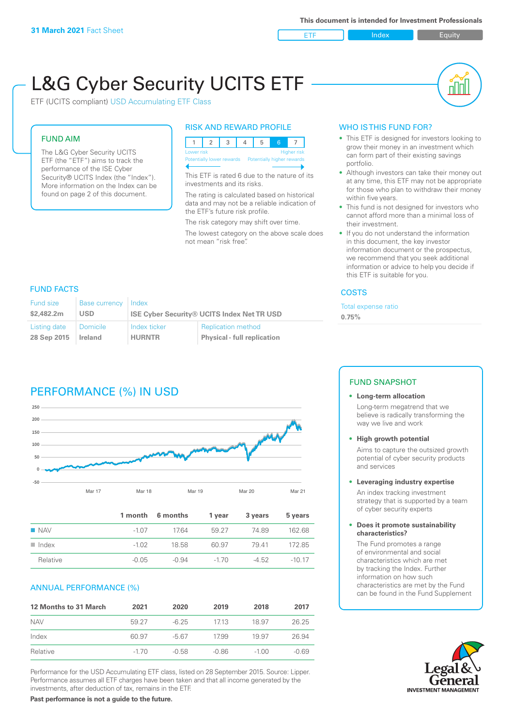**ETF** Index **Index** Equity

nl IN

# L&G Cyber Security UCITS ETF

ETF (UCITS compliant) USD Accumulating ETF Class

# FUND AIM

The L&G Cyber Security UCITS ETF (the "ETF") aims to track the performance of the ISE Cyber Security® UCITS Index (the "Index"). More information on the Index can be found on page 2 of this document.

#### RISK AND REWARD PROFILE



This ETF is rated 6 due to the nature of its investments and its risks.

The rating is calculated based on historical data and may not be a reliable indication of the ETF's future risk profile.

The risk category may shift over time.

The lowest category on the above scale does not mean "risk free".

# WHO IS THIS FUND FOR?

- This ETF is designed for investors looking to grow their money in an investment which can form part of their existing savings portfolio.
- Although investors can take their money out at any time, this ETF may not be appropriate for those who plan to withdraw their money within five years.
- This fund is not designed for investors who cannot afford more than a minimal loss of their investment.
- If you do not understand the information in this document, the key investor information document or the prospectus, we recommend that you seek additional information or advice to help you decide if this ETF is suitable for you.

#### **COSTS**

Total expense ratio

**0.75%**

## FUND FACTS

| Fund size    | Base currency   | Index                                             |                                    |
|--------------|-----------------|---------------------------------------------------|------------------------------------|
| \$2,482.2m   | <b>USD</b>      | <b>ISE Cyber Security® UCITS Index Net TR USD</b> |                                    |
| Listing date | <b>Domicile</b> | Index ticker                                      | <b>Replication method</b>          |
| 28 Sep 2015  | Ireland         | <b>HURNTR</b>                                     | <b>Physical - full replication</b> |

# PERFORMANCE (%) IN USD



|                      |         | 1 month 6 months | 1 vear   | 3 years | 5 years  |
|----------------------|---------|------------------|----------|---------|----------|
| <b>NAV</b>           | $-1.07$ | 1764             | 59 27    | 7489    | 162.68   |
| $\blacksquare$ Index | $-1.02$ | 18.58            | 60.97    | 7941    | 17285    |
| Relative             | $-0.05$ | $-0.94$          | $-1\,70$ | -4.52   | $-10.17$ |

#### ANNUAL PERFORMANCE (%)

| <b>12 Months to 31 March</b> | 2021   | 2020    | 2019    | 2018    | 2017    |
|------------------------------|--------|---------|---------|---------|---------|
| <b>NAV</b>                   | 59.27  | $-6.25$ | 1713    | 18.97   | 26.25   |
| Index                        | 60.97  | -5.67   | 17.99   | 19.97   | 26.94   |
| Relative                     | $-170$ | $-0.58$ | $-0.86$ | $-1.00$ | $-0.69$ |

Performance for the USD Accumulating ETF class, listed on 28 September 2015. Source: Lipper. Performance assumes all ETF charges have been taken and that all income generated by the investments, after deduction of tax, remains in the ETF.

### FUND SNAPSHOT

#### **• Long-term allocation** Long-term megatrend that we

believe is radically transforming the way we live and work

**• High growth potential**

Aims to capture the outsized growth potential of cyber security products and services

**• Leveraging industry expertise**

An index tracking investment strategy that is supported by a team of cyber security experts

**• Does it promote sustainability characteristics?**

The Fund promotes a range of environmental and social characteristics which are met by tracking the Index. Further information on how such characteristics are met by the Fund can be found in the Fund Supplement

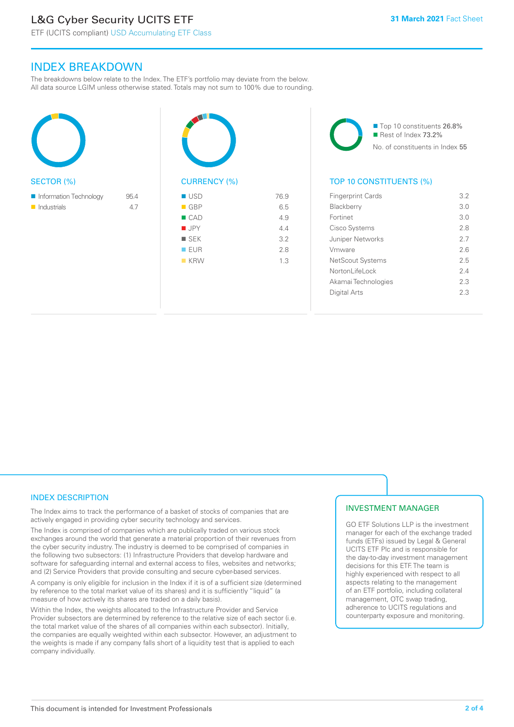# L&G Cyber Security UCITS ETF

# INDEX BREAKDOWN

The breakdowns below relate to the Index. The ETF's portfolio may deviate from the below. All data source LGIM unless otherwise stated. Totals may not sum to 100% due to rounding.





■ Top 10 constituents 26.8% Rest of Index 73.2% No. of constituents in Index 55

## TOP 10 CONSTITUENTS (%)

| <b>Fingerprint Cards</b> | 3.2 |
|--------------------------|-----|
| <b>Blackberry</b>        | 3.0 |
| Fortinet                 | 3 O |
| Cisco Systems            | 28  |
| Juniper Networks         | 27  |
| Vmware                   | 26  |
| <b>NetScout Systems</b>  | 25  |
| Nortonl ifel ock         | 24  |
| Akamai Technologies      | 23  |
| Digital Arts             | 23  |
|                          |     |

### INDEX DESCRIPTION

The Index aims to track the performance of a basket of stocks of companies that are actively engaged in providing cyber security technology and services.

The Index is comprised of companies which are publically traded on various stock exchanges around the world that generate a material proportion of their revenues from the cyber security industry. The industry is deemed to be comprised of companies in the following two subsectors: (1) Infrastructure Providers that develop hardware and software for safeguarding internal and external access to files, websites and networks; and (2) Service Providers that provide consulting and secure cyber-based services.

A company is only eligible for inclusion in the Index if it is of a sufficient size (determined by reference to the total market value of its shares) and it is sufficiently "liquid" (a measure of how actively its shares are traded on a daily basis).

Within the Index, the weights allocated to the Infrastructure Provider and Service Provider subsectors are determined by reference to the relative size of each sector (i.e. the total market value of the shares of all companies within each subsector). Initially, the companies are equally weighted within each subsector. However, an adjustment to the weights is made if any company falls short of a liquidity test that is applied to each company individually.

#### INVESTMENT MANAGER

GO ETF Solutions LLP is the investment manager for each of the exchange traded funds (ETFs) issued by Legal & General UCITS ETF Plc and is responsible for the day-to-day investment management decisions for this ETF. The team is highly experienced with respect to all aspects relating to the management of an ETF portfolio, including collateral management, OTC swap trading, adherence to UCITS regulations and counterparty exposure and monitoring.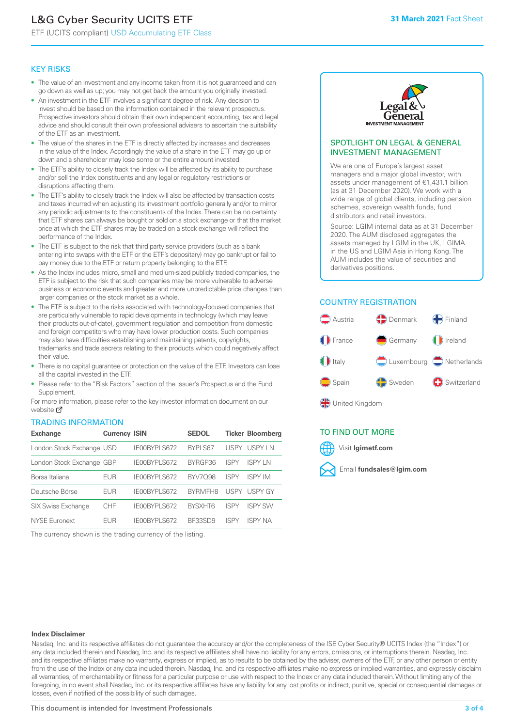# L&G Cyber Security UCITS ETF

ETF (UCITS compliant) USD Accumulating ETF Class

#### KEY RISKS

- The value of an investment and any income taken from it is not guaranteed and can go down as well as up; you may not get back the amount you originally invested.
- An investment in the ETF involves a significant degree of risk. Any decision to invest should be based on the information contained in the relevant prospectus. Prospective investors should obtain their own independent accounting, tax and legal advice and should consult their own professional advisers to ascertain the suitability of the ETF as an investment.
- The value of the shares in the ETF is directly affected by increases and decreases in the value of the Index. Accordingly the value of a share in the ETF may go up or down and a shareholder may lose some or the entire amount invested.
- The ETF's ability to closely track the Index will be affected by its ability to purchase and/or sell the Index constituents and any legal or regulatory restrictions or disruptions affecting them.
- The ETF's ability to closely track the Index will also be affected by transaction costs and taxes incurred when adjusting its investment portfolio generally and/or to mirror any periodic adjustments to the constituents of the Index. There can be no certainty that ETF shares can always be bought or sold on a stock exchange or that the market price at which the ETF shares may be traded on a stock exchange will reflect the performance of the Index.
- The ETF is subject to the risk that third party service providers (such as a bank entering into swaps with the ETF or the ETF's depositary) may go bankrupt or fail to pay money due to the ETF or return property belonging to the ETF.
- As the Index includes micro, small and medium-sized publicly traded companies, the ETF is subject to the risk that such companies may be more vulnerable to adverse business or economic events and greater and more unpredictable price changes than larger companies or the stock market as a whole.
- The ETF is subject to the risks associated with technology-focused companies that are particularly vulnerable to rapid developments in technology (which may leave their products out-of-date), government regulation and competition from domestic and foreign competitors who may have lower production costs. Such companies may also have difficulties establishing and maintaining patents, copyrights, trademarks and trade secrets relating to their products which could negatively affect their value.
- There is no capital quarantee or protection on the value of the ETF. Investors can lose all the capital invested in the ETF.
- Please refer to the "Risk Factors" section of the Issuer's Prospectus and the Fund Supplement.

For mo[re inf](https://www.lgimetf.com/)ormation, please refer to the key investor information document on our website M

#### TRADING INFORMATION

| <b>Exchange</b>           | <b>Currency ISIN</b> |              | <b>SEDOL</b>   |             | <b>Ticker Bloomberg</b> |
|---------------------------|----------------------|--------------|----------------|-------------|-------------------------|
| London Stock Exchange USD |                      | IE00BYPLS672 | BYPLS67        | USPY        | USPY IN                 |
| London Stock Exchange GBP |                      | IE00BYPLS672 | BYRGP36        | ISPY        | <b>ISPY IN</b>          |
| Borsa Italiana            | <b>EUR</b>           | IE00BYPLS672 | <b>BYV7098</b> | <b>ISPY</b> | <b>ISPY IM</b>          |
| Deutsche Börse            | <b>EUR</b>           | IE00BYPLS672 | <b>BYRMFH8</b> | <b>USPY</b> | <b>USPY GY</b>          |
| <b>SIX Swiss Exchange</b> | CHF                  | IE00BYPLS672 | <b>RYSXHT6</b> | <b>ISPY</b> | <b>ISPY SW</b>          |
| NYSE Euronext             | <b>EUR</b>           | IE00BYPLS672 | BE33SD9        | ISPY        | ISPY NA                 |

The currency shown is the trading currency of the listing.



#### SPOTLIGHT ON LEGAL & GENERAL INVESTMENT MANAGEMENT

We are one of Europe's largest asset managers and a major global investor, with assets under management of €1,431.1 billion (as at 31 December 2020). We work with a wide range of global clients, including pension schemes, sovereign wealth funds, fund distributors and retail investors.

Source: LGIM internal data as at 31 December 2020. The AUM disclosed aggregates the assets managed by LGIM in the UK, LGIMA in the US and LGIM Asia in Hong Kong. The AUM includes the value of securities and derivatives positions.

## COUNTRY REGISTRATION



United Kingdom

### TO FIND OUT MORE



#### **Index Disclaimer**

Nasdaq, Inc. and its respective affiliates do not guarantee the accuracy and/or the completeness of the ISE Cyber Security® UCITS Index (the "Index") or any data included therein and Nasdaq, Inc. and its respective affiliates shall have no liability for any errors, omissions, or interruptions therein. Nasdaq, Inc. and its respective affiliates make no warranty, express or implied, as to results to be obtained by the adviser, owners of the ETF, or any other person or entity from the use of the Index or any data included therein. Nasdaq, Inc. and its respective affiliates make no express or implied warranties, and expressly disclaim all warranties, of merchantability or fitness for a particular purpose or use with respect to the Index or any data included therein. Without limiting any of the foregoing, in no event shall Nasdaq, Inc. or its respective affiliates have any liability for any lost profits or indirect, punitive, special or consequential damages or losses, even if notified of the possibility of such damages.